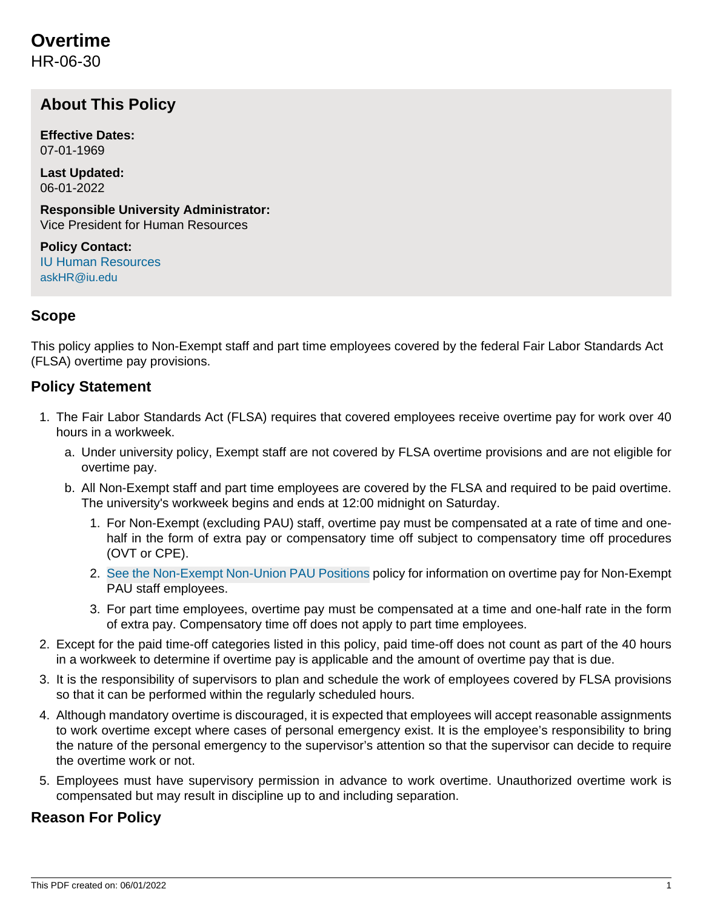# **Overtime**

HR-06-30

## **About This Policy**

**Effective Dates:** 07-01-1969

**Last Updated:** 06-01-2022

**Responsible University Administrator:** Vice President for Human Resources

**Policy Contact:** [IU Human Resources](http://hr.iu.edu/welcome/contact.htm) [askHR@iu.edu](mailto:askHR@iu.edu)

## **Scope**

This policy applies to Non-Exempt staff and part time employees covered by the federal Fair Labor Standards Act (FLSA) overtime pay provisions.

## **Policy Statement**

- 1. The Fair Labor Standards Act (FLSA) requires that covered employees receive overtime pay for work over 40 hours in a workweek.
	- a. Under university policy, Exempt staff are not covered by FLSA overtime provisions and are not eligible for overtime pay.
	- b. All Non-Exempt staff and part time employees are covered by the FLSA and required to be paid overtime. The university's workweek begins and ends at 12:00 midnight on Saturday.
		- 1. For Non-Exempt (excluding PAU) staff, overtime pay must be compensated at a rate of time and onehalf in the form of extra pay or compensatory time off subject to compensatory time off procedures (OVT or CPE).
		- 2. [See the Non-Exempt Non-Union PAU Positions](https://policies.iu.edu/policies/hr-06-40-pau-positions/index.html) policy for information on overtime pay for Non-Exempt PAU staff employees.
		- 3. For part time employees, overtime pay must be compensated at a time and one-half rate in the form of extra pay. Compensatory time off does not apply to part time employees.
- 2. Except for the paid time-off categories listed in this policy, paid time-off does not count as part of the 40 hours in a workweek to determine if overtime pay is applicable and the amount of overtime pay that is due.
- 3. It is the responsibility of supervisors to plan and schedule the work of employees covered by FLSA provisions so that it can be performed within the regularly scheduled hours.
- 4. Although mandatory overtime is discouraged, it is expected that employees will accept reasonable assignments to work overtime except where cases of personal emergency exist. It is the employee's responsibility to bring the nature of the personal emergency to the supervisor's attention so that the supervisor can decide to require the overtime work or not.
- 5. Employees must have supervisory permission in advance to work overtime. Unauthorized overtime work is compensated but may result in discipline up to and including separation.

## **Reason For Policy**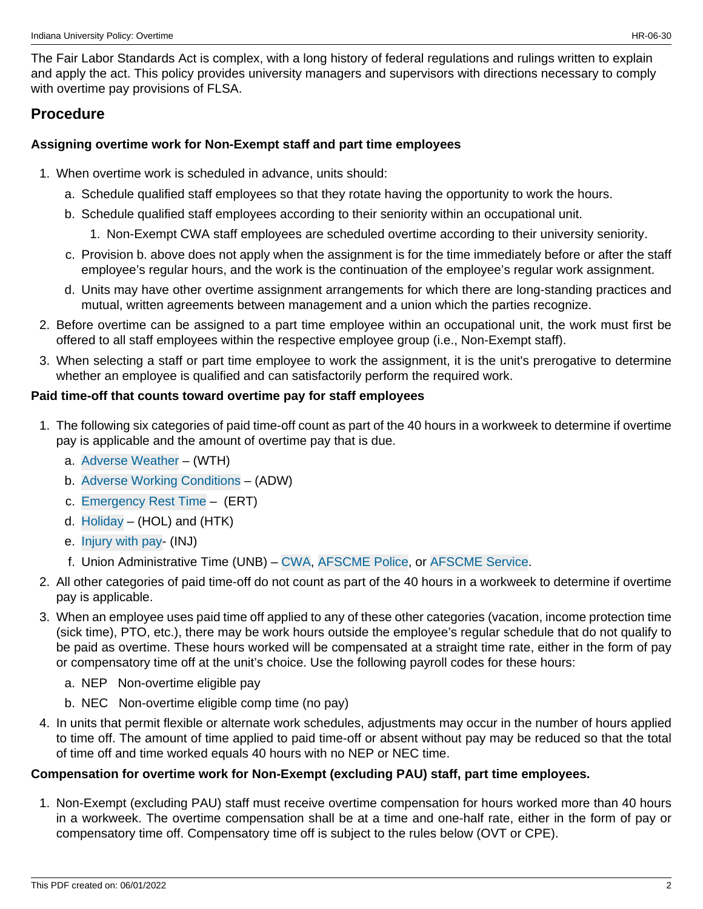The Fair Labor Standards Act is complex, with a long history of federal regulations and rulings written to explain and apply the act. This policy provides university managers and supervisors with directions necessary to comply with overtime pay provisions of FLSA.

## **Procedure**

## **Assigning overtime work for Non-Exempt staff and part time employees**

- 1. When overtime work is scheduled in advance, units should:
	- a. Schedule qualified staff employees so that they rotate having the opportunity to work the hours.
	- b. Schedule qualified staff employees according to their seniority within an occupational unit.
		- 1. Non-Exempt CWA staff employees are scheduled overtime according to their university seniority.
	- c. Provision b. above does not apply when the assignment is for the time immediately before or after the staff employee's regular hours, and the work is the continuation of the employee's regular work assignment.
	- d. Units may have other overtime assignment arrangements for which there are long-standing practices and mutual, written agreements between management and a union which the parties recognize.
- 2. Before overtime can be assigned to a part time employee within an occupational unit, the work must first be offered to all staff employees within the respective employee group (i.e., Non-Exempt staff).
- 3. When selecting a staff or part time employee to work the assignment, it is the unit's prerogative to determine whether an employee is qualified and can satisfactorily perform the required work.

## **Paid time-off that counts toward overtime pay for staff employees**

- 1. The following six categories of paid time-off count as part of the 40 hours in a workweek to determine if overtime pay is applicable and the amount of overtime pay that is due.
	- a. [Adverse Weather](https://policies.iu.edu/policies/hr-11-20-adverse-weather/index.html)  (WTH)
	- b. [Adverse Working Conditions](https://policies.iu.edu/policies/hr-11-10-adverse-unsafe-conditions/index.html)  (ADW)
	- c. [Emergency Rest Time](https://policies.iu.edu/policies/hr-03-50-premium-pay/index.html)  (ERT)
	- d.  $H$ oliday (HOL) and (HTK)
	- e. [Injury with pay](https://policies.iu.edu/policies/hr-11-30-injury-job/index.html) (INJ)
	- f. Union Administrative Time (UNB) – [CWA,](https://policies.iu.edu/policies/hr-12-60-union-administration-relations-cwa/index.html) [AFSCME Police,](https://policies.iu.edu/policies/hr-12-40-union-administration-relations-police/index.html) or [AFSCME Service](https://policies.iu.edu/policies/hr-12-50-union-administration-relations-service/index.html).
- 2. All other categories of paid time-off do not count as part of the 40 hours in a workweek to determine if overtime pay is applicable.
- 3. When an employee uses paid time off applied to any of these other categories (vacation, income protection time (sick time), PTO, etc.), there may be work hours outside the employee's regular schedule that do not qualify to be paid as overtime. These hours worked will be compensated at a straight time rate, either in the form of pay or compensatory time off at the unit's choice. Use the following payroll codes for these hours:
	- a. NEP Non-overtime eligible pay
	- b. NEC Non-overtime eligible comp time (no pay)
- 4. In units that permit flexible or alternate work schedules, adjustments may occur in the number of hours applied to time off. The amount of time applied to paid time-off or absent without pay may be reduced so that the total of time off and time worked equals 40 hours with no NEP or NEC time.

### **Compensation for overtime work for Non-Exempt (excluding PAU) staff, part time employees.**

1. Non-Exempt (excluding PAU) staff must receive overtime compensation for hours worked more than 40 hours in a workweek. The overtime compensation shall be at a time and one-half rate, either in the form of pay or compensatory time off. Compensatory time off is subject to the rules below (OVT or CPE).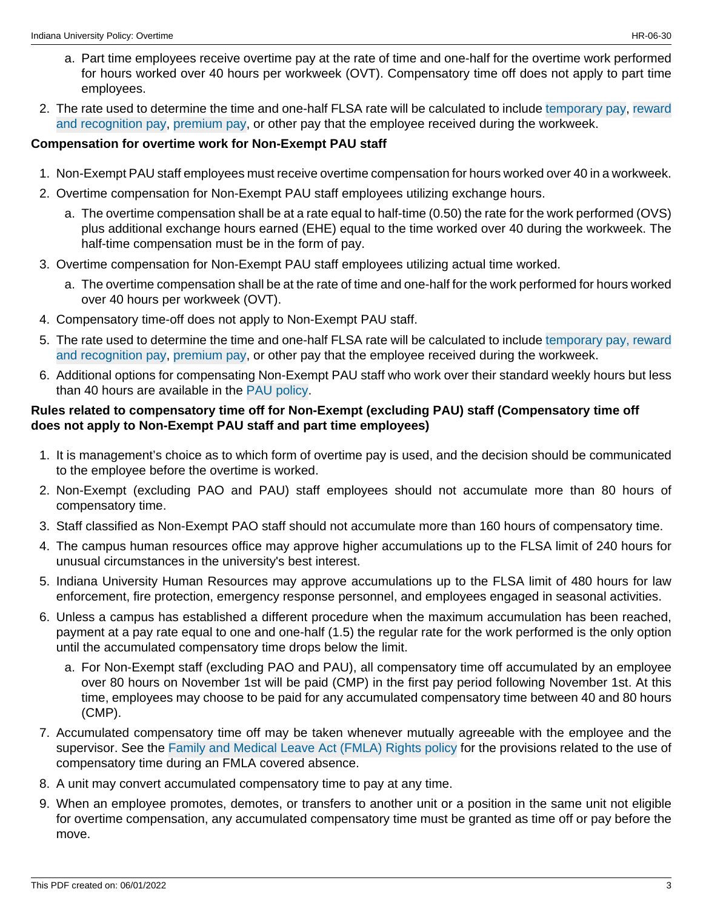- a. Part time employees receive overtime pay at the rate of time and one-half for the overtime work performed for hours worked over 40 hours per workweek (OVT). Compensatory time off does not apply to part time employees.
- 2. The rate used to determine the time and one-half FLSA rate will be calculated to include [temporary pay,](https://policies.iu.edu/policies/hr-03-90-temporary-pay/index.html) [reward](https://policies.iu.edu/policies/hr-03-70-reward-recognition-plans/index.html) [and recognition pay,](https://policies.iu.edu/policies/hr-03-70-reward-recognition-plans/index.html) [premium pay,](https://policies.iu.edu/policies/hr-03-50-premium-pay/index.html) or other pay that the employee received during the workweek.

#### **Compensation for overtime work for Non-Exempt PAU staff**

- 1. Non-Exempt PAU staff employees must receive overtime compensation for hours worked over 40 in a workweek.
- 2. Overtime compensation for Non-Exempt PAU staff employees utilizing exchange hours.
	- a. The overtime compensation shall be at a rate equal to half-time (0.50) the rate for the work performed (OVS) plus additional exchange hours earned (EHE) equal to the time worked over 40 during the workweek. The half-time compensation must be in the form of pay.
- 3. Overtime compensation for Non-Exempt PAU staff employees utilizing actual time worked.
	- a. The overtime compensation shall be at the rate of time and one-half for the work performed for hours worked over 40 hours per workweek (OVT).
- 4. Compensatory time-off does not apply to Non-Exempt PAU staff.
- 5. The rate used to determine the time and one-half FLSA rate will be calculated to include [temporary pay,](https://policies.iu.edu/policies/hr-03-90-temporary-pay/index.html) [reward](https://policies.iu.edu/policies/hr-03-70-reward-recognition-plans/index.html) [and recognition pay,](https://policies.iu.edu/policies/hr-03-70-reward-recognition-plans/index.html) [premium pay,](https://policies.iu.edu/policies/hr-03-50-premium-pay/index.html) or other pay that the employee received during the workweek.
- 6. Additional options for compensating Non-Exempt PAU staff who work over their standard weekly hours but less than 40 hours are available in the [PAU policy](https://policies.iu.edu/policies/hr-06-40-pau-positions/index.html).

#### **Rules related to compensatory time off for Non-Exempt (excluding PAU) staff (Compensatory time off does not apply to Non-Exempt PAU staff and part time employees)**

- 1. It is management's choice as to which form of overtime pay is used, and the decision should be communicated to the employee before the overtime is worked.
- 2. Non-Exempt (excluding PAO and PAU) staff employees should not accumulate more than 80 hours of compensatory time.
- 3. Staff classified as Non-Exempt PAO staff should not accumulate more than 160 hours of compensatory time.
- 4. The campus human resources office may approve higher accumulations up to the FLSA limit of 240 hours for unusual circumstances in the university's best interest.
- 5. Indiana University Human Resources may approve accumulations up to the FLSA limit of 480 hours for law enforcement, fire protection, emergency response personnel, and employees engaged in seasonal activities.
- 6. Unless a campus has established a different procedure when the maximum accumulation has been reached, payment at a pay rate equal to one and one-half (1.5) the regular rate for the work performed is the only option until the accumulated compensatory time drops below the limit.
	- a. For Non-Exempt staff (excluding PAO and PAU), all compensatory time off accumulated by an employee over 80 hours on November 1st will be paid (CMP) in the first pay period following November 1st. At this time, employees may choose to be paid for any accumulated compensatory time between 40 and 80 hours (CMP).
- 7. Accumulated compensatory time off may be taken whenever mutually agreeable with the employee and the supervisor. See the [Family and Medical Leave Act \(FMLA\) Rights policy](https://policies.iu.edu/policies/hr-05-20-fmla-family-medical-leave/archived-1jan2019.html) for the provisions related to the use of compensatory time during an FMLA covered absence.
- 8. A unit may convert accumulated compensatory time to pay at any time.
- 9. When an employee promotes, demotes, or transfers to another unit or a position in the same unit not eligible for overtime compensation, any accumulated compensatory time must be granted as time off or pay before the move.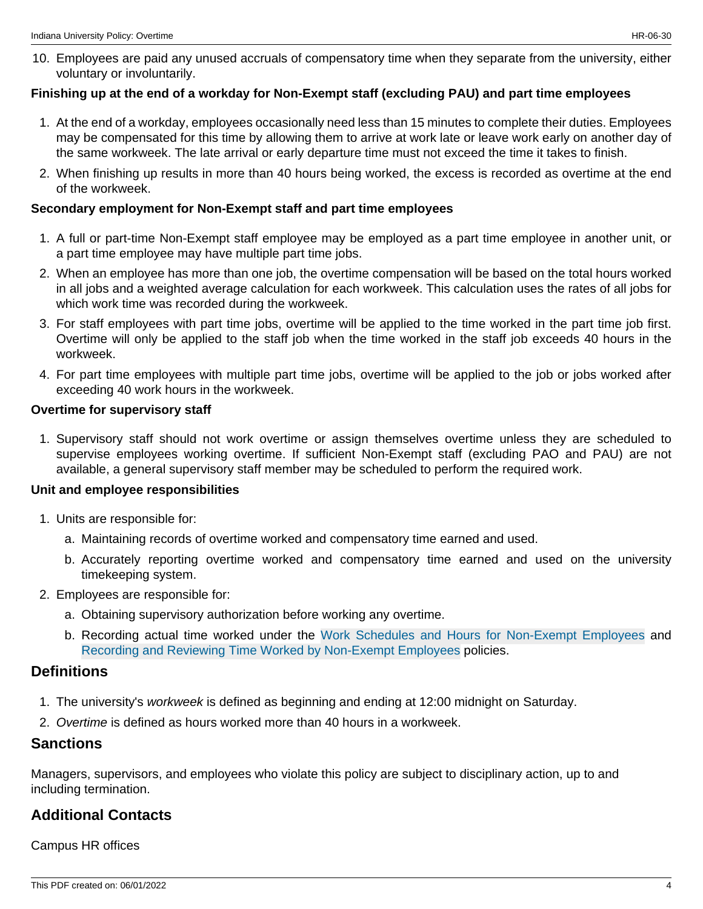10. Employees are paid any unused accruals of compensatory time when they separate from the university, either voluntary or involuntarily.

#### **Finishing up at the end of a workday for Non-Exempt staff (excluding PAU) and part time employees**

- 1. At the end of a workday, employees occasionally need less than 15 minutes to complete their duties. Employees may be compensated for this time by allowing them to arrive at work late or leave work early on another day of the same workweek. The late arrival or early departure time must not exceed the time it takes to finish.
- 2. When finishing up results in more than 40 hours being worked, the excess is recorded as overtime at the end of the workweek.

#### **Secondary employment for Non-Exempt staff and part time employees**

- 1. A full or part-time Non-Exempt staff employee may be employed as a part time employee in another unit, or a part time employee may have multiple part time jobs.
- 2. When an employee has more than one job, the overtime compensation will be based on the total hours worked in all jobs and a weighted average calculation for each workweek. This calculation uses the rates of all jobs for which work time was recorded during the workweek.
- 3. For staff employees with part time jobs, overtime will be applied to the time worked in the part time job first. Overtime will only be applied to the staff job when the time worked in the staff job exceeds 40 hours in the workweek.
- 4. For part time employees with multiple part time jobs, overtime will be applied to the job or jobs worked after exceeding 40 work hours in the workweek.

#### **Overtime for supervisory staff**

1. Supervisory staff should not work overtime or assign themselves overtime unless they are scheduled to supervise employees working overtime. If sufficient Non-Exempt staff (excluding PAO and PAU) are not available, a general supervisory staff member may be scheduled to perform the required work.

#### **Unit and employee responsibilities**

- 1. Units are responsible for:
	- a. Maintaining records of overtime worked and compensatory time earned and used.
	- b. Accurately reporting overtime worked and compensatory time earned and used on the university timekeeping system.
- 2. Employees are responsible for:
	- a. Obtaining supervisory authorization before working any overtime.
	- b. Recording actual time worked under the [Work Schedules and Hours for Non-Exempt Employees](https://policies.iu.edu/policies/hr-06-70-work-schedules-non-exempt/index.html) and [Recording and Reviewing Time Worked by Non-Exempt Employees](https://policies.iu.edu/policies/fin-pay-020-recording-reviewing-time-worked-non-exempt-employees/index.html) policies.

## **Definitions**

- 1. The university's workweek is defined as beginning and ending at 12:00 midnight on Saturday.
- 2. Overtime is defined as hours worked more than 40 hours in a workweek.

### **Sanctions**

Managers, supervisors, and employees who violate this policy are subject to disciplinary action, up to and including termination.

### **Additional Contacts**

Campus HR offices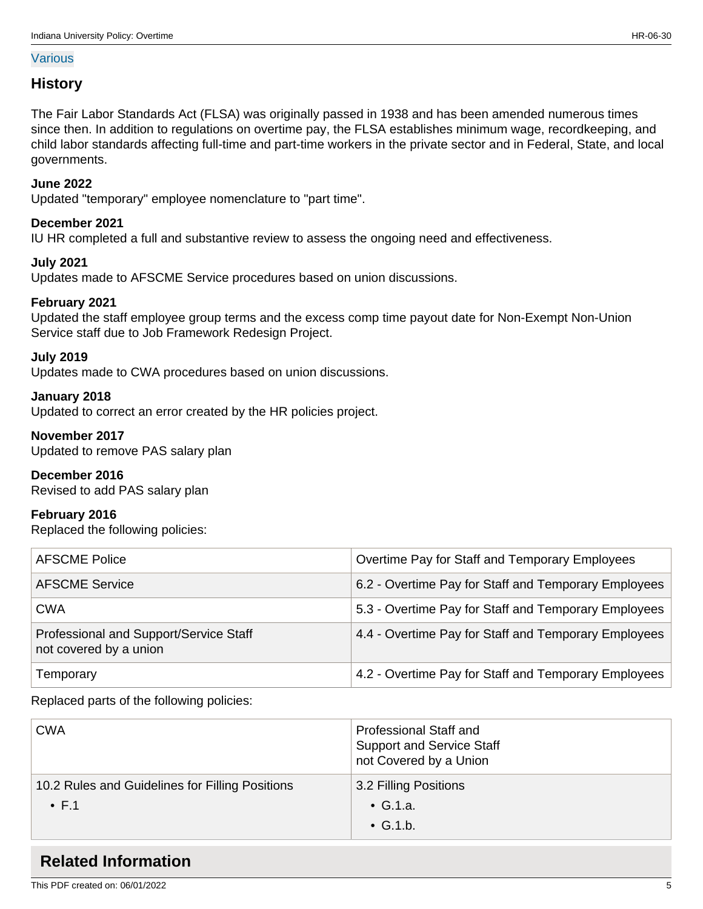#### [Various](http://hr.iu.edu/welcome/contact-address.htm)

### **History**

The Fair Labor Standards Act (FLSA) was originally passed in 1938 and has been amended numerous times since then. In addition to regulations on overtime pay, the FLSA establishes minimum wage, recordkeeping, and child labor standards affecting full-time and part-time workers in the private sector and in Federal, State, and local governments.

### **June 2022**

Updated "temporary" employee nomenclature to "part time".

## **December 2021**

IU HR completed a full and substantive review to assess the ongoing need and effectiveness.

## **July 2021**

Updates made to AFSCME Service procedures based on union discussions.

## **February 2021**

Updated the staff employee group terms and the excess comp time payout date for Non-Exempt Non-Union Service staff due to Job Framework Redesign Project.

#### **July 2019**

Updates made to CWA procedures based on union discussions.

#### **January 2018**

Updated to correct an error created by the HR policies project.

#### **November 2017**

Updated to remove PAS salary plan

#### **December 2016**

Revised to add PAS salary plan

#### **February 2016**

Replaced the following policies:

| <b>AFSCME Police</b>                                             | Overtime Pay for Staff and Temporary Employees       |
|------------------------------------------------------------------|------------------------------------------------------|
| <b>AFSCME Service</b>                                            | 6.2 - Overtime Pay for Staff and Temporary Employees |
| <b>CWA</b>                                                       | 5.3 - Overtime Pay for Staff and Temporary Employees |
| Professional and Support/Service Staff<br>not covered by a union | 4.4 - Overtime Pay for Staff and Temporary Employees |
| Temporary                                                        | 4.2 - Overtime Pay for Staff and Temporary Employees |

Replaced parts of the following policies:

| <b>CWA</b>                                                       | <b>Professional Staff and</b><br><b>Support and Service Staff</b><br>not Covered by a Union |
|------------------------------------------------------------------|---------------------------------------------------------------------------------------------|
| 10.2 Rules and Guidelines for Filling Positions<br>$\bullet$ F.1 | 3.2 Filling Positions<br>$\bullet$ G.1.a.<br>$\bullet$ G.1.b.                               |

## **Related Information**